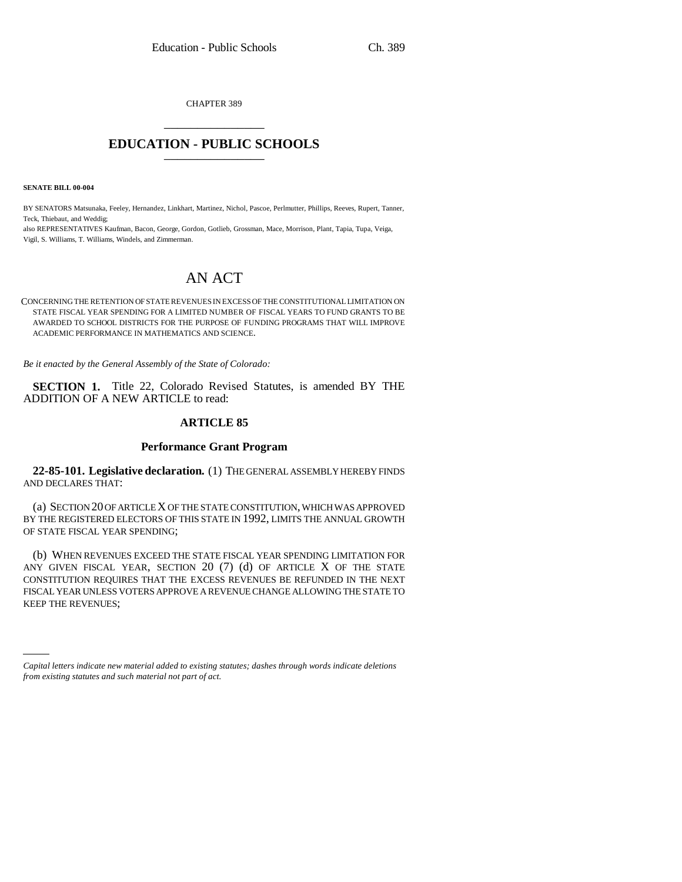CHAPTER 389 \_\_\_\_\_\_\_\_\_\_\_\_\_\_\_

# **EDUCATION - PUBLIC SCHOOLS** \_\_\_\_\_\_\_\_\_\_\_\_\_\_\_

**SENATE BILL 00-004** 

BY SENATORS Matsunaka, Feeley, Hernandez, Linkhart, Martinez, Nichol, Pascoe, Perlmutter, Phillips, Reeves, Rupert, Tanner, Teck, Thiebaut, and Weddig;

also REPRESENTATIVES Kaufman, Bacon, George, Gordon, Gotlieb, Grossman, Mace, Morrison, Plant, Tapia, Tupa, Veiga, Vigil, S. Williams, T. Williams, Windels, and Zimmerman.

# AN ACT

CONCERNING THE RETENTION OF STATE REVENUES IN EXCESS OF THE CONSTITUTIONAL LIMITATION ON STATE FISCAL YEAR SPENDING FOR A LIMITED NUMBER OF FISCAL YEARS TO FUND GRANTS TO BE AWARDED TO SCHOOL DISTRICTS FOR THE PURPOSE OF FUNDING PROGRAMS THAT WILL IMPROVE ACADEMIC PERFORMANCE IN MATHEMATICS AND SCIENCE.

*Be it enacted by the General Assembly of the State of Colorado:*

**SECTION 1.** Title 22, Colorado Revised Statutes, is amended BY THE ADDITION OF A NEW ARTICLE to read:

## **ARTICLE 85**

### **Performance Grant Program**

**22-85-101. Legislative declaration.** (1) THE GENERAL ASSEMBLY HEREBY FINDS AND DECLARES THAT:

(a) SECTION 20 OF ARTICLE X OF THE STATE CONSTITUTION, WHICH WAS APPROVED BY THE REGISTERED ELECTORS OF THIS STATE IN 1992, LIMITS THE ANNUAL GROWTH OF STATE FISCAL YEAR SPENDING;

KEEP THE REVENUES;(b) WHEN REVENUES EXCEED THE STATE FISCAL YEAR SPENDING LIMITATION FOR ANY GIVEN FISCAL YEAR, SECTION  $20$  (7) (d) OF ARTICLE X OF THE STATE CONSTITUTION REQUIRES THAT THE EXCESS REVENUES BE REFUNDED IN THE NEXT FISCAL YEAR UNLESS VOTERS APPROVE A REVENUE CHANGE ALLOWING THE STATE TO

*Capital letters indicate new material added to existing statutes; dashes through words indicate deletions from existing statutes and such material not part of act.*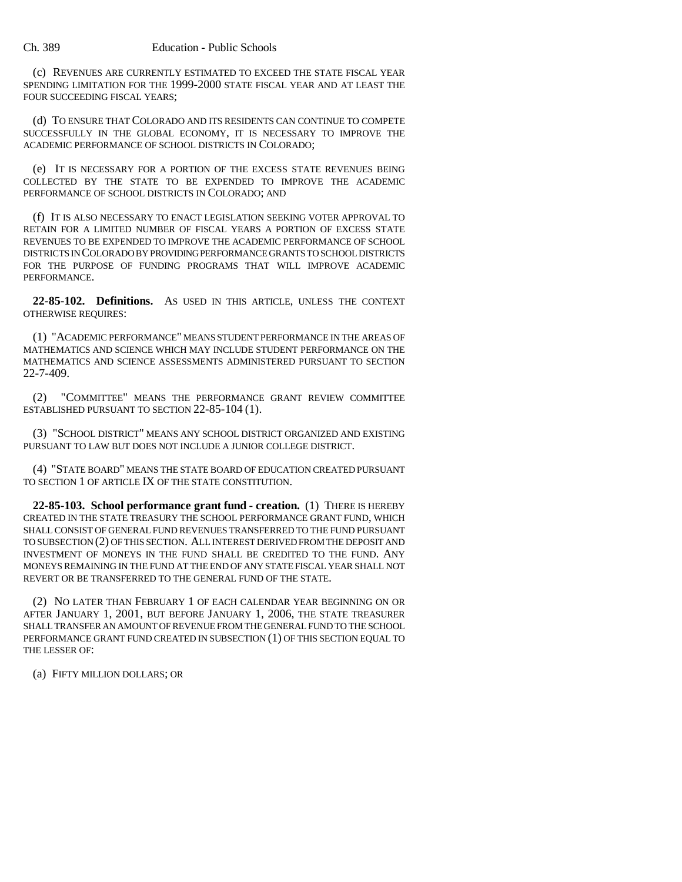(c) REVENUES ARE CURRENTLY ESTIMATED TO EXCEED THE STATE FISCAL YEAR SPENDING LIMITATION FOR THE 1999-2000 STATE FISCAL YEAR AND AT LEAST THE FOUR SUCCEEDING FISCAL YEARS;

(d) TO ENSURE THAT COLORADO AND ITS RESIDENTS CAN CONTINUE TO COMPETE SUCCESSFULLY IN THE GLOBAL ECONOMY, IT IS NECESSARY TO IMPROVE THE ACADEMIC PERFORMANCE OF SCHOOL DISTRICTS IN COLORADO;

(e) IT IS NECESSARY FOR A PORTION OF THE EXCESS STATE REVENUES BEING COLLECTED BY THE STATE TO BE EXPENDED TO IMPROVE THE ACADEMIC PERFORMANCE OF SCHOOL DISTRICTS IN COLORADO; AND

(f) IT IS ALSO NECESSARY TO ENACT LEGISLATION SEEKING VOTER APPROVAL TO RETAIN FOR A LIMITED NUMBER OF FISCAL YEARS A PORTION OF EXCESS STATE REVENUES TO BE EXPENDED TO IMPROVE THE ACADEMIC PERFORMANCE OF SCHOOL DISTRICTS IN COLORADO BY PROVIDING PERFORMANCE GRANTS TO SCHOOL DISTRICTS FOR THE PURPOSE OF FUNDING PROGRAMS THAT WILL IMPROVE ACADEMIC PERFORMANCE.

**22-85-102. Definitions.** AS USED IN THIS ARTICLE, UNLESS THE CONTEXT OTHERWISE REQUIRES:

(1) "ACADEMIC PERFORMANCE" MEANS STUDENT PERFORMANCE IN THE AREAS OF MATHEMATICS AND SCIENCE WHICH MAY INCLUDE STUDENT PERFORMANCE ON THE MATHEMATICS AND SCIENCE ASSESSMENTS ADMINISTERED PURSUANT TO SECTION 22-7-409.

(2) "COMMITTEE" MEANS THE PERFORMANCE GRANT REVIEW COMMITTEE ESTABLISHED PURSUANT TO SECTION 22-85-104 (1).

(3) "SCHOOL DISTRICT" MEANS ANY SCHOOL DISTRICT ORGANIZED AND EXISTING PURSUANT TO LAW BUT DOES NOT INCLUDE A JUNIOR COLLEGE DISTRICT.

(4) "STATE BOARD" MEANS THE STATE BOARD OF EDUCATION CREATED PURSUANT TO SECTION 1 OF ARTICLE IX OF THE STATE CONSTITUTION.

**22-85-103. School performance grant fund - creation.** (1) THERE IS HEREBY CREATED IN THE STATE TREASURY THE SCHOOL PERFORMANCE GRANT FUND, WHICH SHALL CONSIST OF GENERAL FUND REVENUES TRANSFERRED TO THE FUND PURSUANT TO SUBSECTION (2) OF THIS SECTION. ALL INTEREST DERIVED FROM THE DEPOSIT AND INVESTMENT OF MONEYS IN THE FUND SHALL BE CREDITED TO THE FUND. ANY MONEYS REMAINING IN THE FUND AT THE END OF ANY STATE FISCAL YEAR SHALL NOT REVERT OR BE TRANSFERRED TO THE GENERAL FUND OF THE STATE.

(2) NO LATER THAN FEBRUARY 1 OF EACH CALENDAR YEAR BEGINNING ON OR AFTER JANUARY 1, 2001, BUT BEFORE JANUARY 1, 2006, THE STATE TREASURER SHALL TRANSFER AN AMOUNT OF REVENUE FROM THE GENERAL FUND TO THE SCHOOL PERFORMANCE GRANT FUND CREATED IN SUBSECTION (1) OF THIS SECTION EQUAL TO THE LESSER OF:

(a) FIFTY MILLION DOLLARS; OR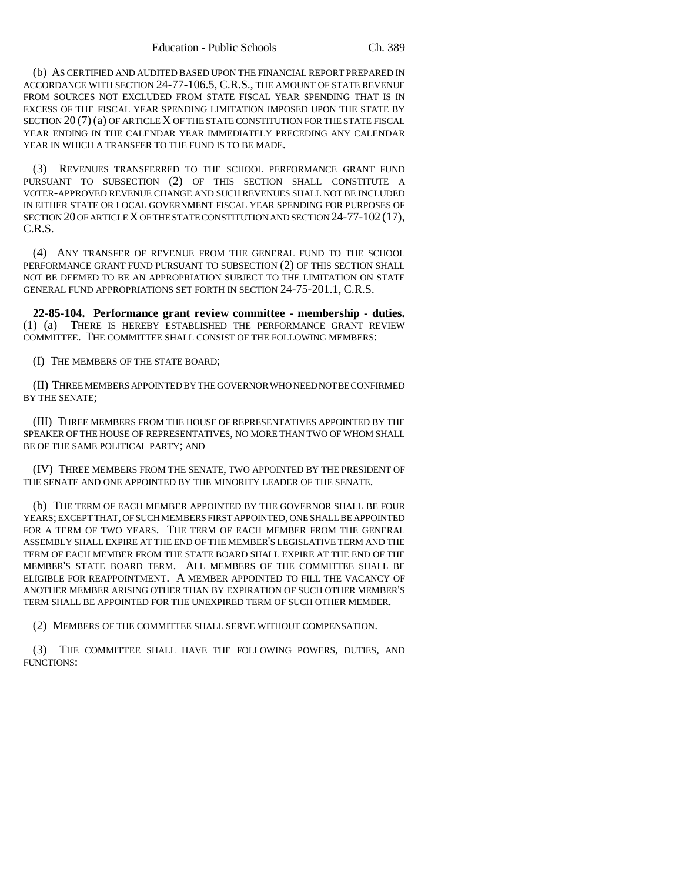(b) AS CERTIFIED AND AUDITED BASED UPON THE FINANCIAL REPORT PREPARED IN ACCORDANCE WITH SECTION 24-77-106.5, C.R.S., THE AMOUNT OF STATE REVENUE FROM SOURCES NOT EXCLUDED FROM STATE FISCAL YEAR SPENDING THAT IS IN EXCESS OF THE FISCAL YEAR SPENDING LIMITATION IMPOSED UPON THE STATE BY SECTION 20 (7) (a) OF ARTICLE X OF THE STATE CONSTITUTION FOR THE STATE FISCAL YEAR ENDING IN THE CALENDAR YEAR IMMEDIATELY PRECEDING ANY CALENDAR YEAR IN WHICH A TRANSFER TO THE FUND IS TO BE MADE.

(3) REVENUES TRANSFERRED TO THE SCHOOL PERFORMANCE GRANT FUND PURSUANT TO SUBSECTION (2) OF THIS SECTION SHALL CONSTITUTE A VOTER-APPROVED REVENUE CHANGE AND SUCH REVENUES SHALL NOT BE INCLUDED IN EITHER STATE OR LOCAL GOVERNMENT FISCAL YEAR SPENDING FOR PURPOSES OF SECTION 20 OF ARTICLE X OF THE STATE CONSTITUTION AND SECTION 24-77-102 (17), C.R.S.

(4) ANY TRANSFER OF REVENUE FROM THE GENERAL FUND TO THE SCHOOL PERFORMANCE GRANT FUND PURSUANT TO SUBSECTION (2) OF THIS SECTION SHALL NOT BE DEEMED TO BE AN APPROPRIATION SUBJECT TO THE LIMITATION ON STATE GENERAL FUND APPROPRIATIONS SET FORTH IN SECTION 24-75-201.1, C.R.S.

**22-85-104. Performance grant review committee - membership - duties.** (1) (a) THERE IS HEREBY ESTABLISHED THE PERFORMANCE GRANT REVIEW COMMITTEE. THE COMMITTEE SHALL CONSIST OF THE FOLLOWING MEMBERS:

(I) THE MEMBERS OF THE STATE BOARD;

(II) THREE MEMBERS APPOINTED BY THE GOVERNOR WHO NEED NOT BE CONFIRMED BY THE SENATE;

(III) THREE MEMBERS FROM THE HOUSE OF REPRESENTATIVES APPOINTED BY THE SPEAKER OF THE HOUSE OF REPRESENTATIVES, NO MORE THAN TWO OF WHOM SHALL BE OF THE SAME POLITICAL PARTY; AND

(IV) THREE MEMBERS FROM THE SENATE, TWO APPOINTED BY THE PRESIDENT OF THE SENATE AND ONE APPOINTED BY THE MINORITY LEADER OF THE SENATE.

(b) THE TERM OF EACH MEMBER APPOINTED BY THE GOVERNOR SHALL BE FOUR YEARS; EXCEPT THAT, OF SUCH MEMBERS FIRST APPOINTED, ONE SHALL BE APPOINTED FOR A TERM OF TWO YEARS. THE TERM OF EACH MEMBER FROM THE GENERAL ASSEMBLY SHALL EXPIRE AT THE END OF THE MEMBER'S LEGISLATIVE TERM AND THE TERM OF EACH MEMBER FROM THE STATE BOARD SHALL EXPIRE AT THE END OF THE MEMBER'S STATE BOARD TERM. ALL MEMBERS OF THE COMMITTEE SHALL BE ELIGIBLE FOR REAPPOINTMENT. A MEMBER APPOINTED TO FILL THE VACANCY OF ANOTHER MEMBER ARISING OTHER THAN BY EXPIRATION OF SUCH OTHER MEMBER'S TERM SHALL BE APPOINTED FOR THE UNEXPIRED TERM OF SUCH OTHER MEMBER.

(2) MEMBERS OF THE COMMITTEE SHALL SERVE WITHOUT COMPENSATION.

(3) THE COMMITTEE SHALL HAVE THE FOLLOWING POWERS, DUTIES, AND FUNCTIONS: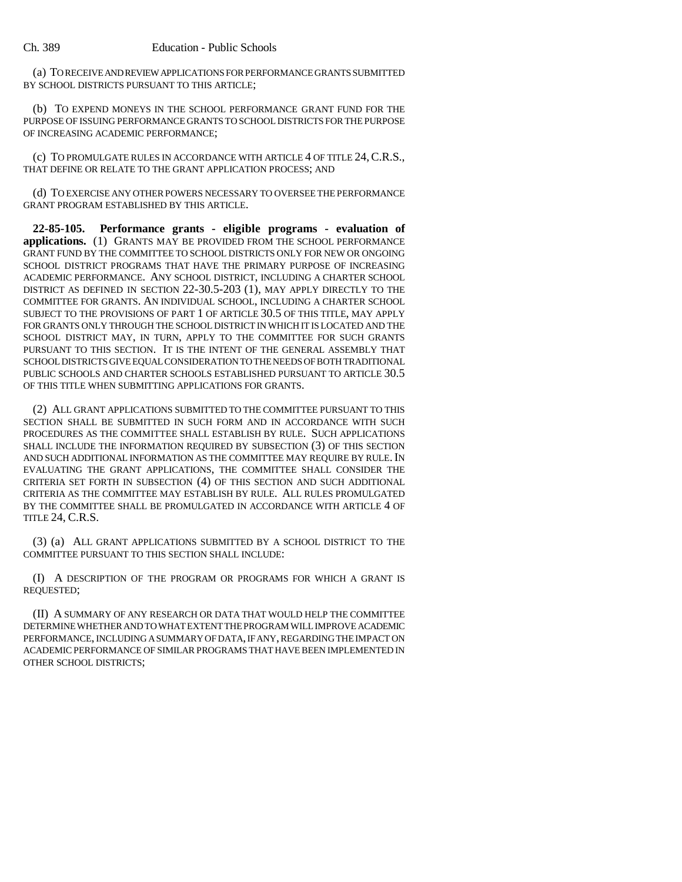(a) TO RECEIVE AND REVIEW APPLICATIONS FOR PERFORMANCE GRANTS SUBMITTED BY SCHOOL DISTRICTS PURSUANT TO THIS ARTICLE;

(b) TO EXPEND MONEYS IN THE SCHOOL PERFORMANCE GRANT FUND FOR THE PURPOSE OF ISSUING PERFORMANCE GRANTS TO SCHOOL DISTRICTS FOR THE PURPOSE OF INCREASING ACADEMIC PERFORMANCE;

(c) TO PROMULGATE RULES IN ACCORDANCE WITH ARTICLE 4 OF TITLE 24,C.R.S., THAT DEFINE OR RELATE TO THE GRANT APPLICATION PROCESS; AND

(d) TO EXERCISE ANY OTHER POWERS NECESSARY TO OVERSEE THE PERFORMANCE GRANT PROGRAM ESTABLISHED BY THIS ARTICLE.

**22-85-105. Performance grants - eligible programs - evaluation of applications.** (1) GRANTS MAY BE PROVIDED FROM THE SCHOOL PERFORMANCE GRANT FUND BY THE COMMITTEE TO SCHOOL DISTRICTS ONLY FOR NEW OR ONGOING SCHOOL DISTRICT PROGRAMS THAT HAVE THE PRIMARY PURPOSE OF INCREASING ACADEMIC PERFORMANCE. ANY SCHOOL DISTRICT, INCLUDING A CHARTER SCHOOL DISTRICT AS DEFINED IN SECTION 22-30.5-203 (1), MAY APPLY DIRECTLY TO THE COMMITTEE FOR GRANTS. AN INDIVIDUAL SCHOOL, INCLUDING A CHARTER SCHOOL SUBJECT TO THE PROVISIONS OF PART 1 OF ARTICLE 30.5 OF THIS TITLE, MAY APPLY FOR GRANTS ONLY THROUGH THE SCHOOL DISTRICT IN WHICH IT IS LOCATED AND THE SCHOOL DISTRICT MAY, IN TURN, APPLY TO THE COMMITTEE FOR SUCH GRANTS PURSUANT TO THIS SECTION. IT IS THE INTENT OF THE GENERAL ASSEMBLY THAT SCHOOL DISTRICTS GIVE EQUAL CONSIDERATION TO THE NEEDS OF BOTH TRADITIONAL PUBLIC SCHOOLS AND CHARTER SCHOOLS ESTABLISHED PURSUANT TO ARTICLE 30.5 OF THIS TITLE WHEN SUBMITTING APPLICATIONS FOR GRANTS.

(2) ALL GRANT APPLICATIONS SUBMITTED TO THE COMMITTEE PURSUANT TO THIS SECTION SHALL BE SUBMITTED IN SUCH FORM AND IN ACCORDANCE WITH SUCH PROCEDURES AS THE COMMITTEE SHALL ESTABLISH BY RULE. SUCH APPLICATIONS SHALL INCLUDE THE INFORMATION REQUIRED BY SUBSECTION (3) OF THIS SECTION AND SUCH ADDITIONAL INFORMATION AS THE COMMITTEE MAY REQUIRE BY RULE. IN EVALUATING THE GRANT APPLICATIONS, THE COMMITTEE SHALL CONSIDER THE CRITERIA SET FORTH IN SUBSECTION (4) OF THIS SECTION AND SUCH ADDITIONAL CRITERIA AS THE COMMITTEE MAY ESTABLISH BY RULE. ALL RULES PROMULGATED BY THE COMMITTEE SHALL BE PROMULGATED IN ACCORDANCE WITH ARTICLE 4 OF TITLE 24, C.R.S.

(3) (a) ALL GRANT APPLICATIONS SUBMITTED BY A SCHOOL DISTRICT TO THE COMMITTEE PURSUANT TO THIS SECTION SHALL INCLUDE:

(I) A DESCRIPTION OF THE PROGRAM OR PROGRAMS FOR WHICH A GRANT IS REQUESTED;

(II) A SUMMARY OF ANY RESEARCH OR DATA THAT WOULD HELP THE COMMITTEE DETERMINE WHETHER AND TO WHAT EXTENT THE PROGRAM WILL IMPROVE ACADEMIC PERFORMANCE, INCLUDING A SUMMARY OF DATA, IF ANY, REGARDING THE IMPACT ON ACADEMIC PERFORMANCE OF SIMILAR PROGRAMS THAT HAVE BEEN IMPLEMENTED IN OTHER SCHOOL DISTRICTS;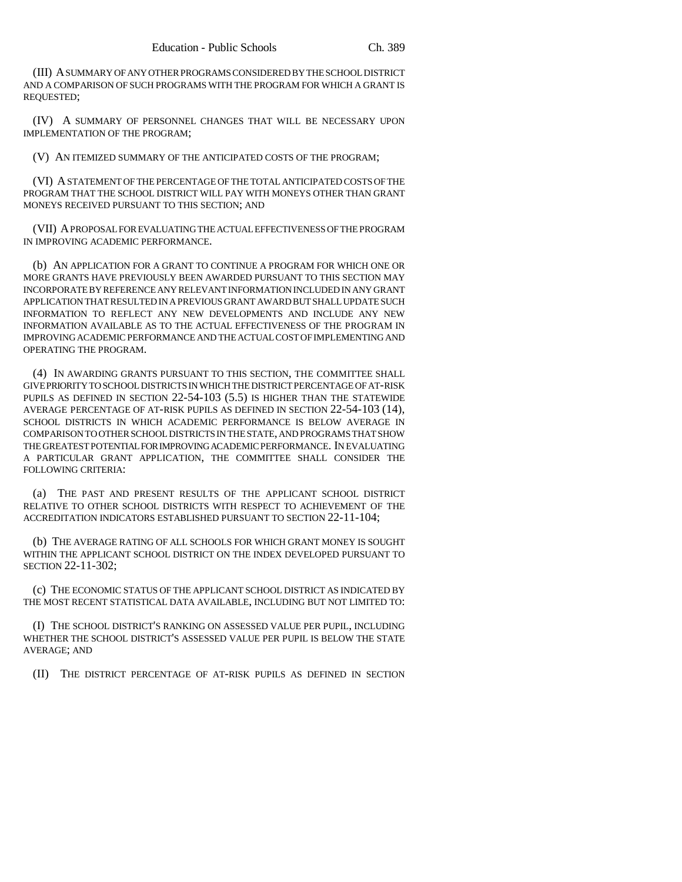(III) A SUMMARY OF ANY OTHER PROGRAMS CONSIDERED BY THE SCHOOL DISTRICT AND A COMPARISON OF SUCH PROGRAMS WITH THE PROGRAM FOR WHICH A GRANT IS REQUESTED;

(IV) A SUMMARY OF PERSONNEL CHANGES THAT WILL BE NECESSARY UPON IMPLEMENTATION OF THE PROGRAM;

(V) AN ITEMIZED SUMMARY OF THE ANTICIPATED COSTS OF THE PROGRAM;

(VI) A STATEMENT OF THE PERCENTAGE OF THE TOTAL ANTICIPATED COSTS OF THE PROGRAM THAT THE SCHOOL DISTRICT WILL PAY WITH MONEYS OTHER THAN GRANT MONEYS RECEIVED PURSUANT TO THIS SECTION; AND

(VII) A PROPOSAL FOR EVALUATING THE ACTUAL EFFECTIVENESS OF THE PROGRAM IN IMPROVING ACADEMIC PERFORMANCE.

(b) AN APPLICATION FOR A GRANT TO CONTINUE A PROGRAM FOR WHICH ONE OR MORE GRANTS HAVE PREVIOUSLY BEEN AWARDED PURSUANT TO THIS SECTION MAY INCORPORATE BY REFERENCE ANY RELEVANT INFORMATION INCLUDED IN ANY GRANT APPLICATION THAT RESULTED IN A PREVIOUS GRANT AWARD BUT SHALL UPDATE SUCH INFORMATION TO REFLECT ANY NEW DEVELOPMENTS AND INCLUDE ANY NEW INFORMATION AVAILABLE AS TO THE ACTUAL EFFECTIVENESS OF THE PROGRAM IN IMPROVING ACADEMIC PERFORMANCE AND THE ACTUAL COST OF IMPLEMENTING AND OPERATING THE PROGRAM.

(4) IN AWARDING GRANTS PURSUANT TO THIS SECTION, THE COMMITTEE SHALL GIVE PRIORITY TO SCHOOL DISTRICTS IN WHICH THE DISTRICT PERCENTAGE OF AT-RISK PUPILS AS DEFINED IN SECTION 22-54-103 (5.5) IS HIGHER THAN THE STATEWIDE AVERAGE PERCENTAGE OF AT-RISK PUPILS AS DEFINED IN SECTION 22-54-103 (14), SCHOOL DISTRICTS IN WHICH ACADEMIC PERFORMANCE IS BELOW AVERAGE IN COMPARISON TO OTHER SCHOOL DISTRICTS IN THE STATE, AND PROGRAMS THAT SHOW THE GREATEST POTENTIAL FOR IMPROVING ACADEMIC PERFORMANCE. IN EVALUATING A PARTICULAR GRANT APPLICATION, THE COMMITTEE SHALL CONSIDER THE FOLLOWING CRITERIA:

(a) THE PAST AND PRESENT RESULTS OF THE APPLICANT SCHOOL DISTRICT RELATIVE TO OTHER SCHOOL DISTRICTS WITH RESPECT TO ACHIEVEMENT OF THE ACCREDITATION INDICATORS ESTABLISHED PURSUANT TO SECTION 22-11-104;

(b) THE AVERAGE RATING OF ALL SCHOOLS FOR WHICH GRANT MONEY IS SOUGHT WITHIN THE APPLICANT SCHOOL DISTRICT ON THE INDEX DEVELOPED PURSUANT TO SECTION 22-11-302;

(c) THE ECONOMIC STATUS OF THE APPLICANT SCHOOL DISTRICT AS INDICATED BY THE MOST RECENT STATISTICAL DATA AVAILABLE, INCLUDING BUT NOT LIMITED TO:

(I) THE SCHOOL DISTRICT'S RANKING ON ASSESSED VALUE PER PUPIL, INCLUDING WHETHER THE SCHOOL DISTRICT'S ASSESSED VALUE PER PUPIL IS BELOW THE STATE AVERAGE; AND

(II) THE DISTRICT PERCENTAGE OF AT-RISK PUPILS AS DEFINED IN SECTION